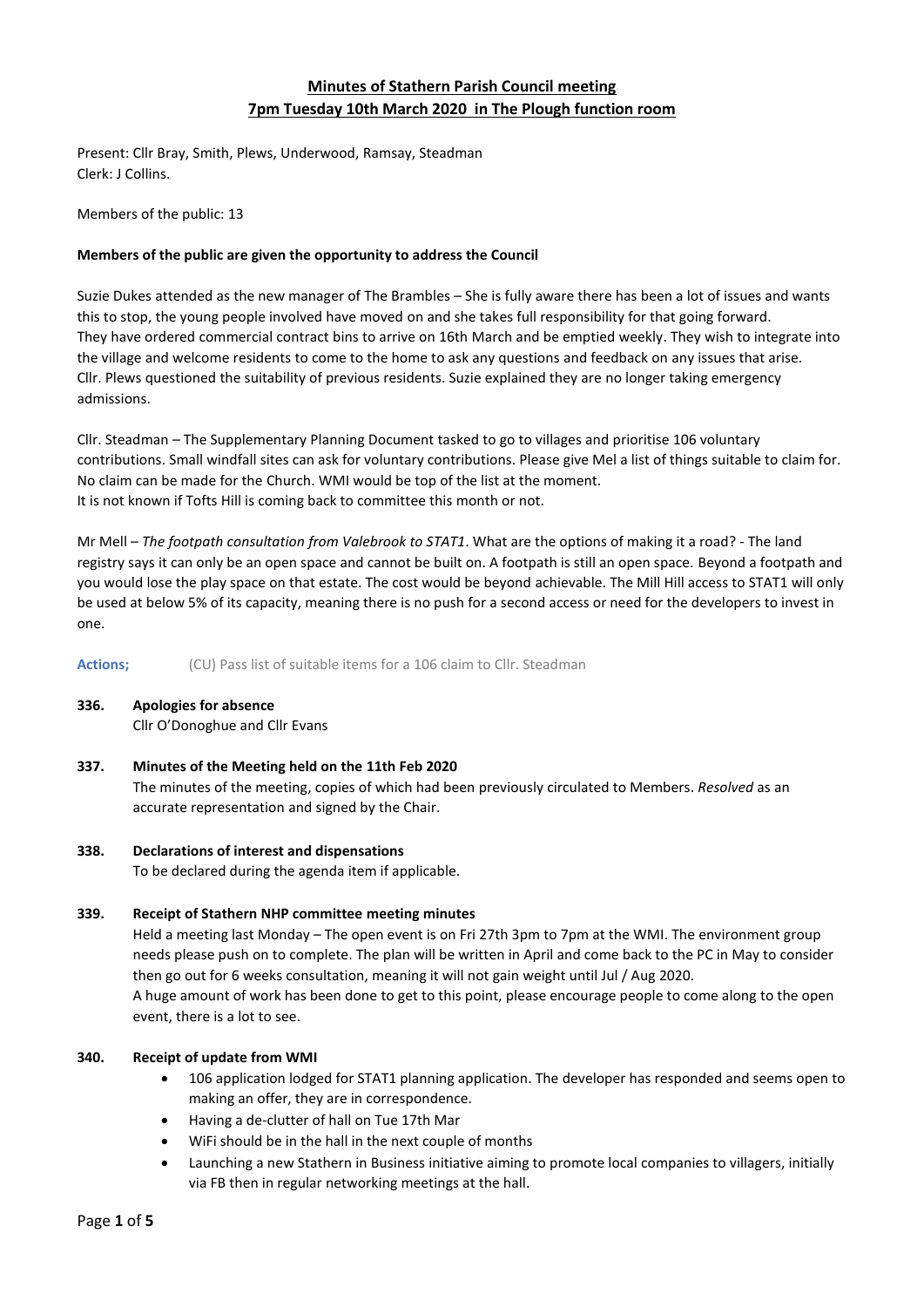# **Minutes of Stathern Parish Council meeting 7pm Tuesday 10th March 2020 in The Plough function room**

Present: Cllr Bray, Smith, Plews, Underwood, Ramsay, Steadman Clerk: J Collins.

Members of the public: 13

# **Members of the public are given the opportunity to address the Council**

Suzie Dukes attended as the new manager of The Brambles – She is fully aware there has been a lot of issues and wants this to stop, the young people involved have moved on and she takes full responsibility for that going forward. They have ordered commercial contract bins to arrive on 16th March and be emptied weekly. They wish to integrate into the village and welcome residents to come to the home to ask any questions and feedback on any issues that arise. Cllr. Plews questioned the suitability of previous residents. Suzie explained they are no longer taking emergency admissions.

Cllr. Steadman – The Supplementary Planning Document tasked to go to villages and prioritise 106 voluntary contributions. Small windfall sites can ask for voluntary contributions. Please give Mel a list of things suitable to claim for. No claim can be made for the Church. WMI would be top of the list at the moment. It is not known if Tofts Hill is coming back to committee this month or not.

Mr Mell – *The footpath consultation from Valebrook to STAT1*. What are the options of making it a road? - The land registry says it can only be an open space and cannot be built on. A footpath is still an open space. Beyond a footpath and you would lose the play space on that estate. The cost would be beyond achievable. The Mill Hill access to STAT1 will only be used at below 5% of its capacity, meaning there is no push for a second access or need for the developers to invest in one.

Actions; (CU) Pass list of suitable items for a 106 claim to Cllr. Steadman

**336. Apologies for absence**

Cllr O'Donoghue and Cllr Evans

**337. Minutes of the Meeting held on the 11th Feb 2020**

The minutes of the meeting, copies of which had been previously circulated to Members. *Resolved* as an accurate representation and signed by the Chair.

# **338. Declarations of interest and dispensations**

To be declared during the agenda item if applicable.

# **339. Receipt of Stathern NHP committee meeting minutes**

Held a meeting last Monday – The open event is on Fri 27th 3pm to 7pm at the WMI. The environment group needs please push on to complete. The plan will be written in April and come back to the PC in May to consider then go out for 6 weeks consultation, meaning it will not gain weight until Jul / Aug 2020. A huge amount of work has been done to get to this point, please encourage people to come along to the open event, there is a lot to see.

# **340. Receipt of update from WMI**

- 106 application lodged for STAT1 planning application. The developer has responded and seems open to making an offer, they are in correspondence.
- Having a de-clutter of hall on Tue 17th Mar
- WiFi should be in the hall in the next couple of months
- Launching a new Stathern in Business initiative aiming to promote local companies to villagers, initially via FB then in regular networking meetings at the hall.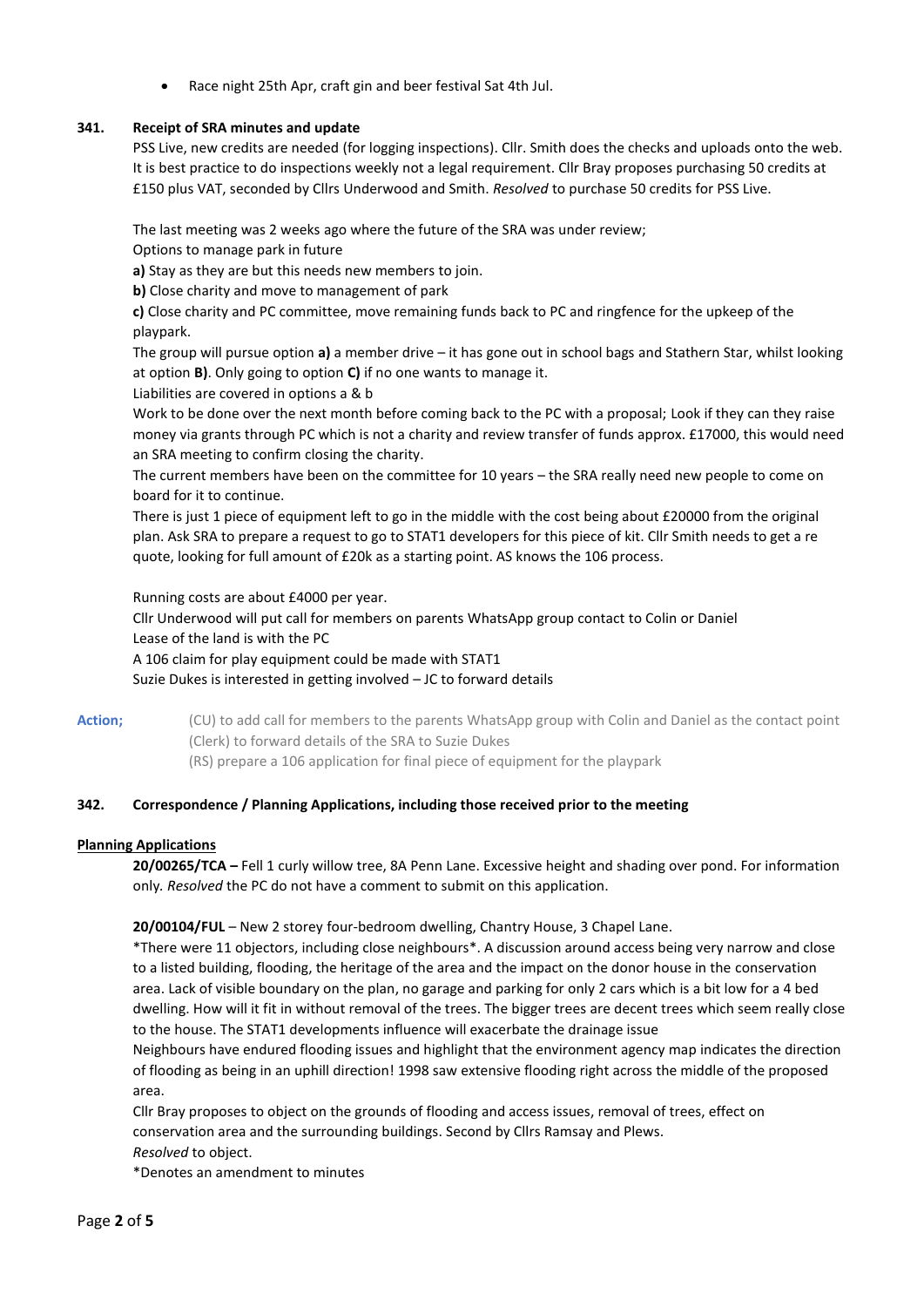• Race night 25th Apr, craft gin and beer festival Sat 4th Jul.

# **341. Receipt of SRA minutes and update**

PSS Live, new credits are needed (for logging inspections). Cllr. Smith does the checks and uploads onto the web. It is best practice to do inspections weekly not a legal requirement. Cllr Bray proposes purchasing 50 credits at £150 plus VAT, seconded by Cllrs Underwood and Smith. *Resolved* to purchase 50 credits for PSS Live.

The last meeting was 2 weeks ago where the future of the SRA was under review;

Options to manage park in future

**a)** Stay as they are but this needs new members to join.

**b)** Close charity and move to management of park

**c)** Close charity and PC committee, move remaining funds back to PC and ringfence for the upkeep of the playpark.

The group will pursue option **a)** a member drive – it has gone out in school bags and Stathern Star, whilst looking at option **B)**. Only going to option **C)** if no one wants to manage it.

Liabilities are covered in options a & b

Work to be done over the next month before coming back to the PC with a proposal; Look if they can they raise money via grants through PC which is not a charity and review transfer of funds approx. £17000, this would need an SRA meeting to confirm closing the charity.

The current members have been on the committee for 10 years – the SRA really need new people to come on board for it to continue.

There is just 1 piece of equipment left to go in the middle with the cost being about £20000 from the original plan. Ask SRA to prepare a request to go to STAT1 developers for this piece of kit. Cllr Smith needs to get a re quote, looking for full amount of £20k as a starting point. AS knows the 106 process.

Running costs are about £4000 per year.

Cllr Underwood will put call for members on parents WhatsApp group contact to Colin or Daniel Lease of the land is with the PC

A 106 claim for play equipment could be made with STAT1

Suzie Dukes is interested in getting involved – JC to forward details

Action; (CU) to add call for members to the parents WhatsApp group with Colin and Daniel as the contact point (Clerk) to forward details of the SRA to Suzie Dukes (RS) prepare a 106 application for final piece of equipment for the playpark

# **342. Correspondence / Planning Applications, including those received prior to the meeting**

# **Planning Applications**

**20/00265/TCA –** Fell 1 curly willow tree, 8A Penn Lane. Excessive height and shading over pond. For information only*. Resolved* the PC do not have a comment to submit on this application.

# **20/00104/FUL** – New 2 storey four-bedroom dwelling, Chantry House, 3 Chapel Lane.

\*There were 11 objectors, including close neighbours\*. A discussion around access being very narrow and close to a listed building, flooding, the heritage of the area and the impact on the donor house in the conservation area. Lack of visible boundary on the plan, no garage and parking for only 2 cars which is a bit low for a 4 bed dwelling. How will it fit in without removal of the trees. The bigger trees are decent trees which seem really close to the house. The STAT1 developments influence will exacerbate the drainage issue

Neighbours have endured flooding issues and highlight that the environment agency map indicates the direction of flooding as being in an uphill direction! 1998 saw extensive flooding right across the middle of the proposed area.

Cllr Bray proposes to object on the grounds of flooding and access issues, removal of trees, effect on conservation area and the surrounding buildings. Second by Cllrs Ramsay and Plews. *Resolved* to object.

\*Denotes an amendment to minutes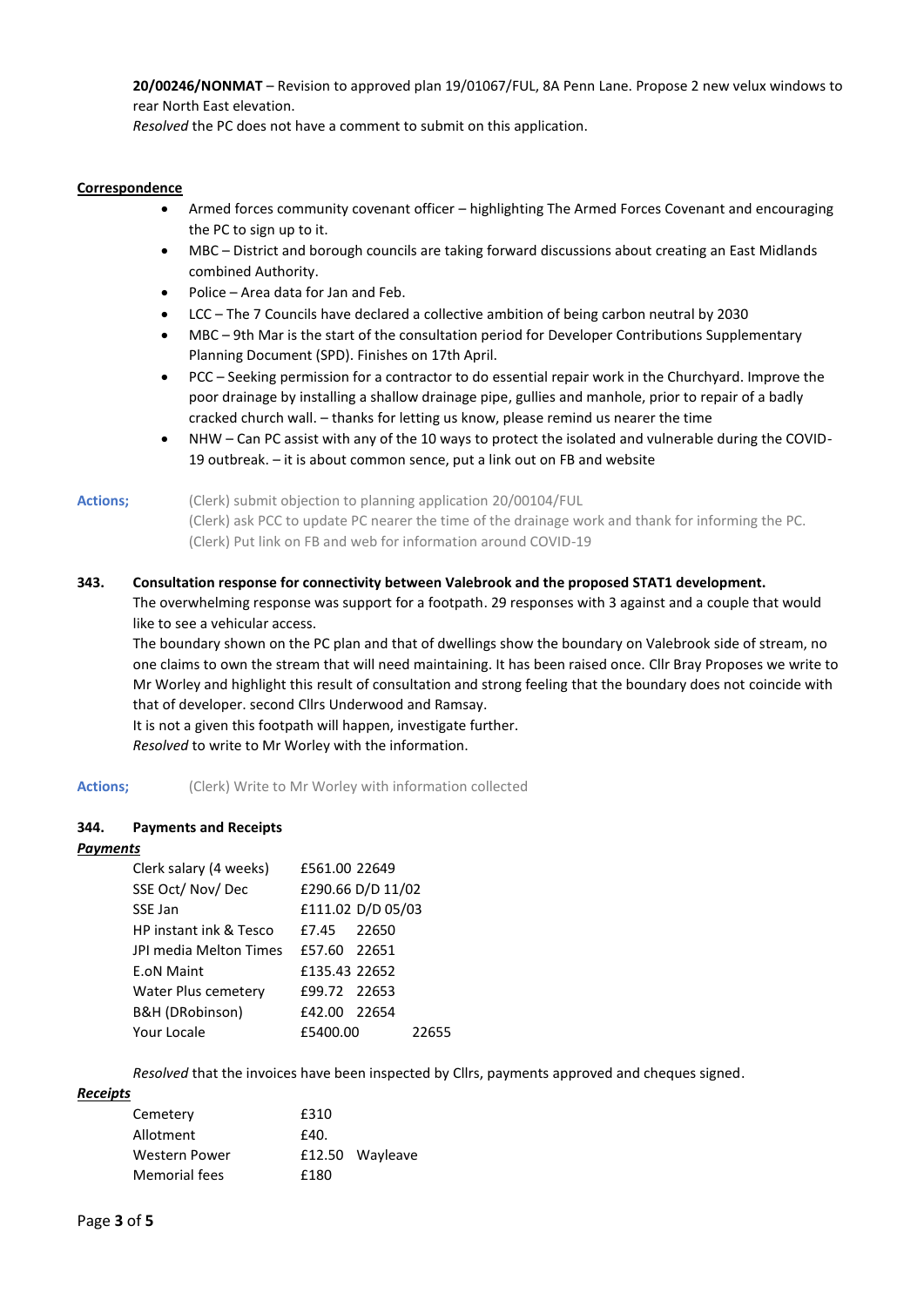**20/00246/NONMAT** – Revision to approved plan 19/01067/FUL, 8A Penn Lane. Propose 2 new velux windows to rear North East elevation.

*Resolved* the PC does not have a comment to submit on this application.

### **Correspondence**

- Armed forces community covenant officer highlighting The Armed Forces Covenant and encouraging the PC to sign up to it.
- MBC District and borough councils are taking forward discussions about creating an East Midlands combined Authority.
- Police Area data for Jan and Feb.
- LCC The 7 Councils have declared a collective ambition of being carbon neutral by 2030
- MBC 9th Mar is the start of the consultation period for Developer Contributions Supplementary Planning Document (SPD). Finishes on 17th April.
- PCC Seeking permission for a contractor to do essential repair work in the Churchyard. Improve the poor drainage by installing a shallow drainage pipe, gullies and manhole, prior to repair of a badly cracked church wall. – thanks for letting us know, please remind us nearer the time
- NHW Can PC assist with any of the 10 ways to protect the isolated and vulnerable during the COVID-19 outbreak. – it is about common sence, put a link out on FB and website

Actions; (Clerk) submit objection to planning application 20/00104/FUL (Clerk) ask PCC to update PC nearer the time of the drainage work and thank for informing the PC.

(Clerk) Put link on FB and web for information around COVID-19

### **343. Consultation response for connectivity between Valebrook and the proposed STAT1 development.**

The overwhelming response was support for a footpath. 29 responses with 3 against and a couple that would like to see a vehicular access.

The boundary shown on the PC plan and that of dwellings show the boundary on Valebrook side of stream, no one claims to own the stream that will need maintaining. It has been raised once. Cllr Bray Proposes we write to Mr Worley and highlight this result of consultation and strong feeling that the boundary does not coincide with that of developer. second Cllrs Underwood and Ramsay.

It is not a given this footpath will happen, investigate further.

*Resolved* to write to Mr Worley with the information.

**Actions;** (Clerk) Write to Mr Worley with information collected

# **344. Payments and Receipts**

#### *Payments*

| Clerk salary (4 weeks) | £561.00 22649     |  |
|------------------------|-------------------|--|
| SSE Oct/ Nov/ Dec      | £290.66 D/D 11/02 |  |
| SSE Jan                | £111.02 D/D 05/03 |  |
| HP instant ink & Tesco | f 7.45<br>22650   |  |
| JPI media Melton Times | £57.60 22651      |  |
| <b>E.oN Maint</b>      | £135.43 22652     |  |
| Water Plus cemetery    | £99.72 22653      |  |
| B&H (DRobinson)        | £42.00 22654      |  |
| Your Locale            | £5400.00          |  |

*Resolved* that the invoices have been inspected by Cllrs, payments approved and cheques signed.

#### *Receipts*

| Cemetery             | £310 |                 |
|----------------------|------|-----------------|
| Allotment            | £40. |                 |
| <b>Western Power</b> |      | £12.50 Wayleave |
| <b>Memorial fees</b> | f180 |                 |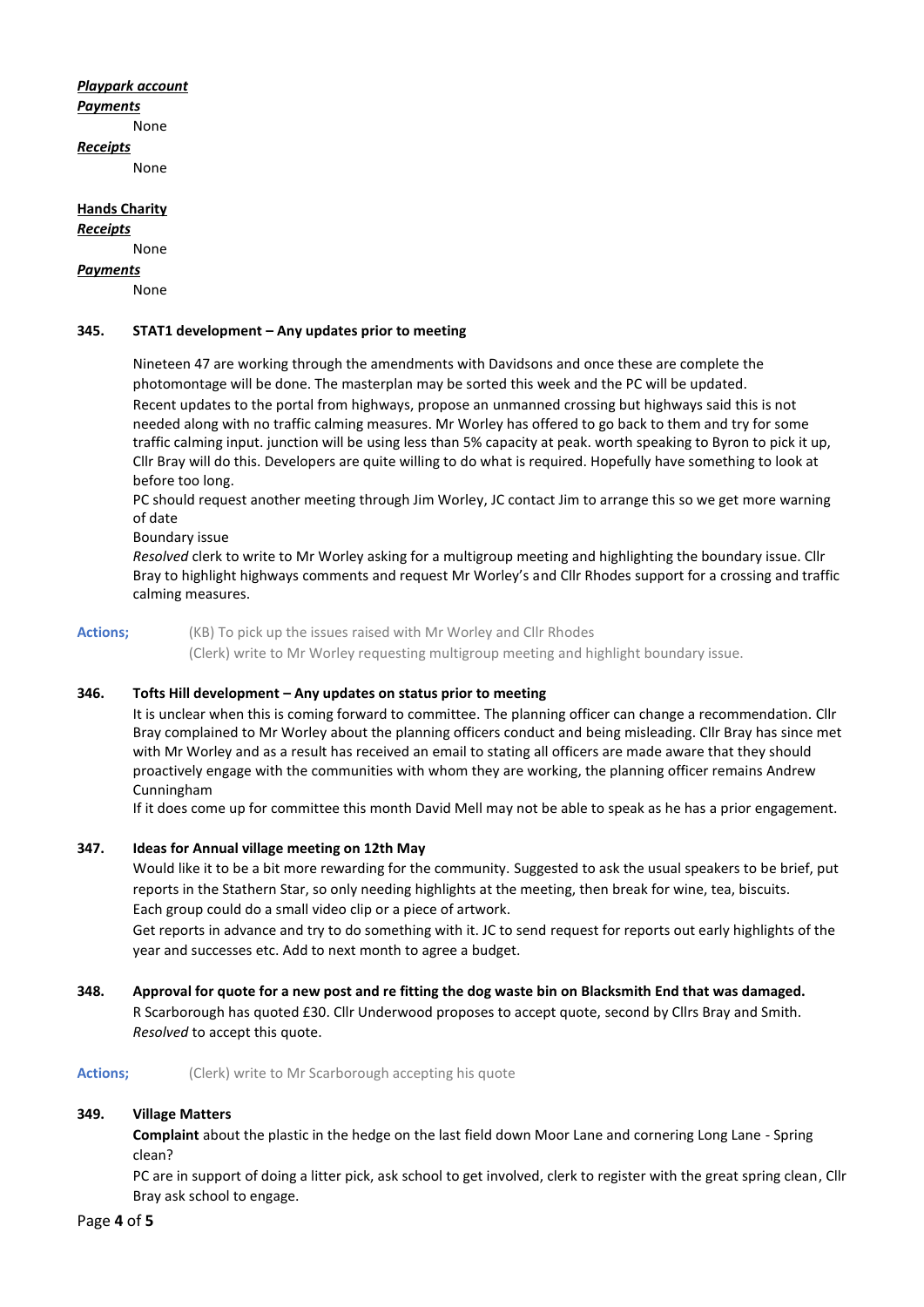### *Playpark account*

- *Payments*
- None
- *Receipts*

None

# **Hands Charity**

#### *Receipts*

None

## *Payments*

None

# **345. STAT1 development – Any updates prior to meeting**

Nineteen 47 are working through the amendments with Davidsons and once these are complete the photomontage will be done. The masterplan may be sorted this week and the PC will be updated. Recent updates to the portal from highways, propose an unmanned crossing but highways said this is not needed along with no traffic calming measures. Mr Worley has offered to go back to them and try for some traffic calming input. junction will be using less than 5% capacity at peak. worth speaking to Byron to pick it up, Cllr Bray will do this. Developers are quite willing to do what is required. Hopefully have something to look at before too long.

PC should request another meeting through Jim Worley, JC contact Jim to arrange this so we get more warning of date

Boundary issue

*Resolved* clerk to write to Mr Worley asking for a multigroup meeting and highlighting the boundary issue. Cllr Bray to highlight highways comments and request Mr Worley's and Cllr Rhodes support for a crossing and traffic calming measures.

# **Actions;** (KB) To pick up the issues raised with Mr Worley and Cllr Rhodes (Clerk) write to Mr Worley requesting multigroup meeting and highlight boundary issue.

# **346. Tofts Hill development – Any updates on status prior to meeting**

It is unclear when this is coming forward to committee. The planning officer can change a recommendation. Cllr Bray complained to Mr Worley about the planning officers conduct and being misleading. Cllr Bray has since met with Mr Worley and as a result has received an email to stating all officers are made aware that they should proactively engage with the communities with whom they are working, the planning officer remains Andrew Cunningham

If it does come up for committee this month David Mell may not be able to speak as he has a prior engagement.

# **347. Ideas for Annual village meeting on 12th May**

Would like it to be a bit more rewarding for the community. Suggested to ask the usual speakers to be brief, put reports in the Stathern Star, so only needing highlights at the meeting, then break for wine, tea, biscuits. Each group could do a small video clip or a piece of artwork.

Get reports in advance and try to do something with it. JC to send request for reports out early highlights of the year and successes etc. Add to next month to agree a budget.

**348. Approval for quote for a new post and re fitting the dog waste bin on Blacksmith End that was damaged.** R Scarborough has quoted £30. Cllr Underwood proposes to accept quote, second by Cllrs Bray and Smith. *Resolved* to accept this quote.

# **Actions;** (Clerk) write to Mr Scarborough accepting his quote

# **349. Village Matters**

**Complaint** about the plastic in the hedge on the last field down Moor Lane and cornering Long Lane - Spring clean?

PC are in support of doing a litter pick, ask school to get involved, clerk to register with the great spring clean, Cllr Bray ask school to engage.

# Page **4** of **5**